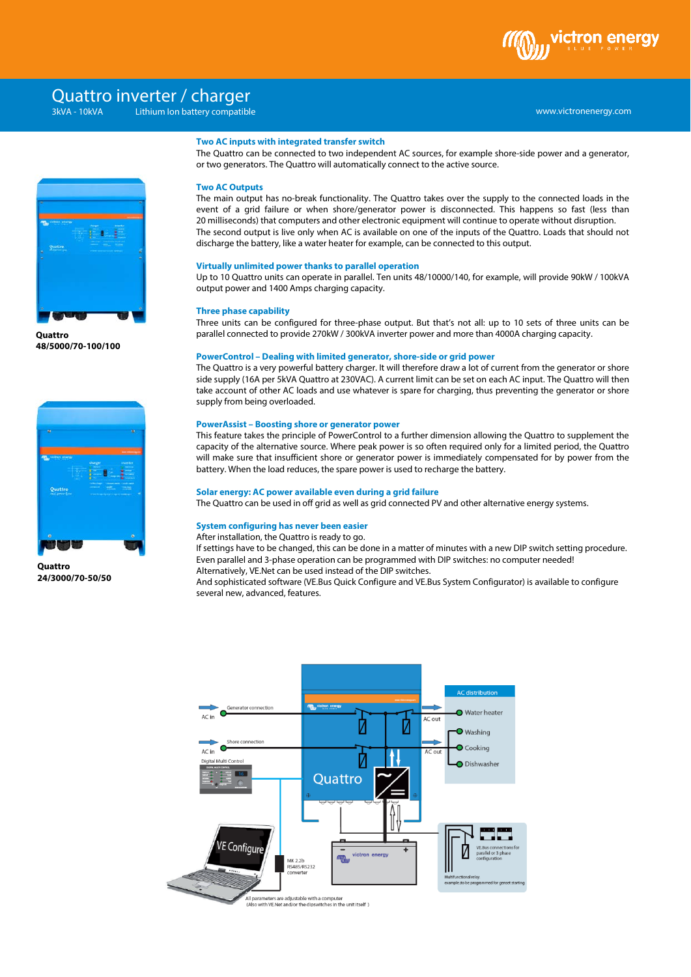

# www.victronenergy.com xxx 3kVA - 10kVA Lithium Ion battery compatibleQuattro inverter / charger



**Quattro 48/5000/70-100/100**



**Quattro 24/3000/70-50/50**

## **Two AC inputs with integrated transfer switch**

The Quattro can be connected to two independent AC sources, for example shore-side power and a generator, or two generators. The Quattro will automatically connect to the active source.

## **Two AC Outputs**

The main output has no-break functionality. The Quattro takes over the supply to the connected loads in the event of a grid failure or when shore/generator power is disconnected. This happens so fast (less than 20 milliseconds) that computers and other electronic equipment will continue to operate without disruption. The second output is live only when AC is available on one of the inputs of the Quattro. Loads that should not discharge the battery, like a water heater for example, can be connected to this output.

#### **Virtually unlimited power thanks to parallel operation**

Up to 10 Quattro units can operate in parallel. Ten units 48/10000/140, for example, will provide 90kW / 100kVA output power and 1400 Amps charging capacity.

## **Three phase capability**

Three units can be configured for three-phase output. But that's not all: up to 10 sets of three units can be parallel connected to provide 270kW / 300kVA inverter power and more than 4000A charging capacity.

#### **PowerControl – Dealing with limited generator, shore-side or grid power**

The Quattro is a very powerful battery charger. It will therefore draw a lot of current from the generator or shore side supply (16A per 5kVA Quattro at 230VAC). A current limit can be set on each AC input. The Quattro will then take account of other AC loads and use whatever is spare for charging, thus preventing the generator or shore supply from being overloaded.

## **PowerAssist – Boosting shore or generator power**

This feature takes the principle of PowerControl to a further dimension allowing the Quattro to supplement the capacity of the alternative source. Where peak power is so often required only for a limited period, the Quattro will make sure that insufficient shore or generator power is immediately compensated for by power from the battery. When the load reduces, the spare power is used to recharge the battery.

#### **Solar energy: AC power available even during a grid failure**

The Quattro can be used in off grid as well as grid connected PV and other alternative energy systems.

#### **System configuring has never been easier**

After installation, the Quattro is ready to go.

If settings have to be changed, this can be done in a matter of minutes with a new DIP switch setting procedure. Even parallel and 3-phase operation can be programmed with DIP switches: no computer needed! Alternatively, VE.Net can be used instead of the DIP switches.

And sophisticated software (VE.Bus Quick Configure and VE.Bus System Configurator) is available to configure several new, advanced, features.